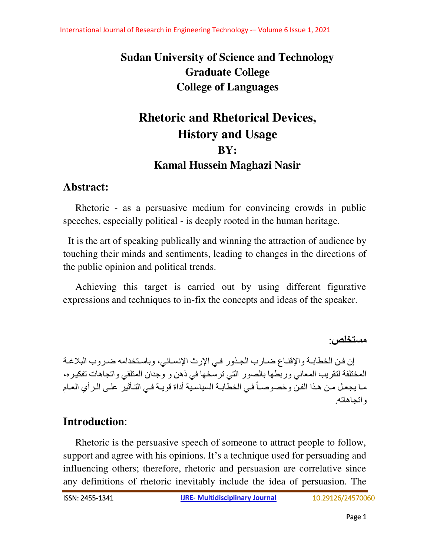# **Sudan University of Science and Technology Graduate College College of Languages**

# **Rhetoric and Rhetorical Devices, History and Usage BY: Kamal Hussein Maghazi Nasir**

#### **Abstract:**

 Rhetoric - as a persuasive medium for convincing crowds in public speeches, especially political - is deeply rooted in the human heritage.

 It is the art of speaking publically and winning the attraction of audience by touching their minds and sentiments, leading to changes in the directions of the public opinion and political trends.

 Achieving this target is carried out by using different figurative expressions and techniques to in-fix the concepts and ideas of the speaker.

**مستخلص** :

إن فن الخطابة والإقناع ضارب الجذور في الإرث الإنساني، وباستخدامه ضروب البلاغة المختلفة لتقريب المعاني وربطها بالصور التي ترسخها في ذهن و وجدان المتلقي واتجاهات تفكيره، مـا يجعـل مـن هـذا الفـن وخصوصــاً فـي الخطابـة السياسـية أداة قويــة فـي النــأثير علـي الـرأي العـام و اتجاهاته.

# **Introduction**:

 Rhetoric is the persuasive speech of someone to attract people to follow, support and agree with his opinions. It's a technique used for persuading and influencing others; therefore, rhetoric and persuasion are correlative since any definitions of rhetoric inevitably include the idea of persuasion. The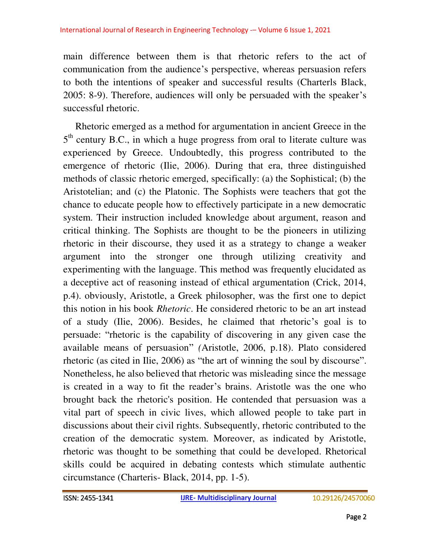main difference between them is that rhetoric refers to the act of communication from the audience's perspective, whereas persuasion refers to both the intentions of speaker and successful results (Charterls Black, 2005: 8-9). Therefore, audiences will only be persuaded with the speaker's successful rhetoric.

 Rhetoric emerged as a method for argumentation in ancient Greece in the 5<sup>th</sup> century B.C., in which a huge progress from oral to literate culture was experienced by Greece. Undoubtedly, this progress contributed to the emergence of rhetoric (Ilie, 2006). During that era, three distinguished methods of classic rhetoric emerged, specifically: (a) the Sophistical; (b) the Aristotelian; and (c) the Platonic. The Sophists were teachers that got the chance to educate people how to effectively participate in a new democratic system. Their instruction included knowledge about argument, reason and critical thinking. The Sophists are thought to be the pioneers in utilizing rhetoric in their discourse, they used it as a strategy to change a weaker argument into the stronger one through utilizing creativity and experimenting with the language. This method was frequently elucidated as a deceptive act of reasoning instead of ethical argumentation (Crick, 2014, p.4). obviously, Aristotle, a Greek philosopher, was the first one to depict this notion in his book *Rhetoric*. He considered rhetoric to be an art instead of a study (Ilie, 2006). Besides, he claimed that rhetoric's goal is to persuade: "rhetoric is the capability of discovering in any given case the available means of persuasion" *(*Aristotle, 2006, p.18). Plato considered rhetoric (as cited in Ilie, 2006) as "the art of winning the soul by discourse". Nonetheless, he also believed that rhetoric was misleading since the message is created in a way to fit the reader's brains. Aristotle was the one who brought back the rhetoric's position. He contended that persuasion was a vital part of speech in civic lives, which allowed people to take part in discussions about their civil rights. Subsequently, rhetoric contributed to the creation of the democratic system. Moreover, as indicated by Aristotle, rhetoric was thought to be something that could be developed. Rhetorical skills could be acquired in debating contests which stimulate authentic circumstance (Charteris- Black, 2014, pp. 1-5).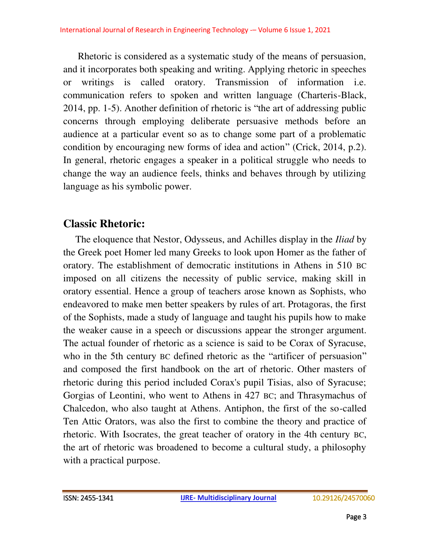Rhetoric is considered as a systematic study of the means of persuasion, and it incorporates both speaking and writing. Applying rhetoric in speeches or writings is called oratory. Transmission of information i.e. communication refers to spoken and written language (Charteris-Black, 2014, pp. 1-5). Another definition of rhetoric is "the art of addressing public concerns through employing deliberate persuasive methods before an audience at a particular event so as to change some part of a problematic condition by encouraging new forms of idea and action" (Crick, 2014, p.2). In general, rhetoric engages a speaker in a political struggle who needs to change the way an audience feels, thinks and behaves through by utilizing language as his symbolic power.

#### **Classic Rhetoric:**

 The eloquence that Nestor, Odysseus, and Achilles display in the *Iliad* by the Greek poet Homer led many Greeks to look upon Homer as the father of oratory. The establishment of democratic institutions in Athens in 510 BC imposed on all citizens the necessity of public service, making skill in oratory essential. Hence a group of teachers arose known as Sophists, who endeavored to make men better speakers by rules of art. Protagoras, the first of the Sophists, made a study of language and taught his pupils how to make the weaker cause in a speech or discussions appear the stronger argument. The actual founder of rhetoric as a science is said to be Corax of Syracuse, who in the 5th century BC defined rhetoric as the "artificer of persuasion" and composed the first handbook on the art of rhetoric. Other masters of rhetoric during this period included Corax's pupil Tisias, also of Syracuse; Gorgias of Leontini, who went to Athens in 427 BC; and Thrasymachus of Chalcedon, who also taught at Athens. Antiphon, the first of the so-called Ten Attic Orators, was also the first to combine the theory and practice of rhetoric. With Isocrates, the great teacher of oratory in the 4th century BC, the art of rhetoric was broadened to become a cultural study, a philosophy with a practical purpose.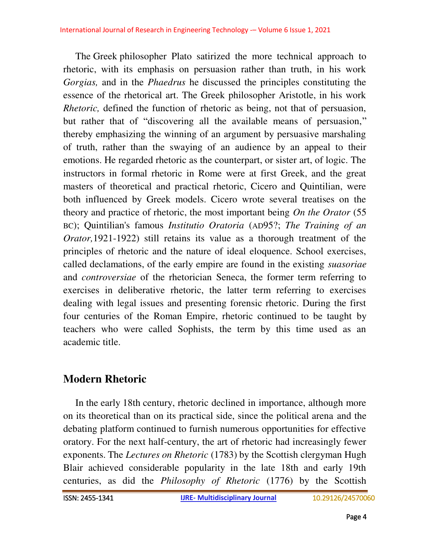The Greek philosopher Plato satirized the more technical approach to rhetoric, with its emphasis on persuasion rather than truth, in his work *Gorgias,* and in the *Phaedrus* he discussed the principles constituting the essence of the rhetorical art. The Greek philosopher Aristotle, in his work *Rhetoric,* defined the function of rhetoric as being, not that of persuasion, but rather that of "discovering all the available means of persuasion," thereby emphasizing the winning of an argument by persuasive marshaling of truth, rather than the swaying of an audience by an appeal to their emotions. He regarded rhetoric as the counterpart, or sister art, of logic. The instructors in formal rhetoric in Rome were at first Greek, and the great masters of theoretical and practical rhetoric, Cicero and Quintilian, were both influenced by Greek models. Cicero wrote several treatises on the theory and practice of rhetoric, the most important being *On the Orator* (55 BC); Quintilian's famous *Institutio Oratoria* (AD95?; *The Training of an Orator,*1921-1922) still retains its value as a thorough treatment of the principles of rhetoric and the nature of ideal eloquence. School exercises, called declamations, of the early empire are found in the existing *suasoriae* and *controversiae* of the rhetorician Seneca, the former term referring to exercises in deliberative rhetoric, the latter term referring to exercises dealing with legal issues and presenting forensic rhetoric. During the first four centuries of the Roman Empire, rhetoric continued to be taught by teachers who were called Sophists, the term by this time used as an academic title.

### **Modern Rhetoric**

 In the early 18th century, rhetoric declined in importance, although more on its theoretical than on its practical side, since the political arena and the debating platform continued to furnish numerous opportunities for effective oratory. For the next half-century, the art of rhetoric had increasingly fewer exponents. The *Lectures on Rhetoric* (1783) by the Scottish clergyman Hugh Blair achieved considerable popularity in the late 18th and early 19th centuries, as did the *Philosophy of Rhetoric* (1776) by the Scottish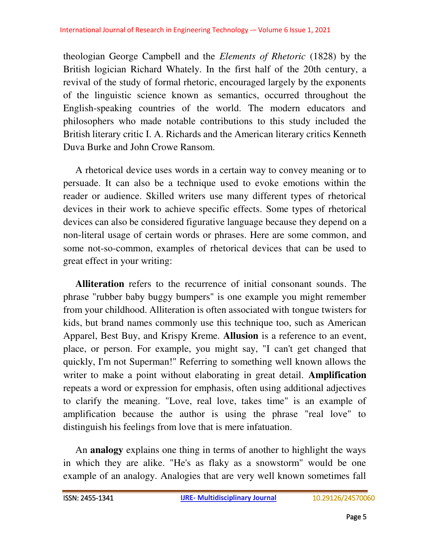theologian George Campbell and the *Elements of Rhetoric* (1828) by the British logician Richard Whately. In the first half of the 20th century, a revival of the study of formal rhetoric, encouraged largely by the exponents of the linguistic science known as semantics, occurred throughout the English-speaking countries of the world. The modern educators and philosophers who made notable contributions to this study included the British literary critic I. A. Richards and the American literary critics Kenneth Duva Burke and John Crowe Ransom.

 A [rhetorical](http://www.yourdictionary.com/rhetorical) device uses words in a certain way to convey meaning or to persuade. It can also be a technique used to evoke emotions within the reader or audience. Skilled writers use many different types of rhetorical devices in their work to achieve specific effects. Some types of rhetorical devices can also be considered [figurative language](http://examples.yourdictionary.com/examples-of-figurative-language.html) because they depend on a non-literal usage of certain words or phrases. Here are some common, and some not-so-common, examples of rhetorical devices that can be used to great effect in your writing:

**[Alliteration](http://examples.yourdictionary.com/alliteration-examples.html)** refers to the recurrence of initial consonant sounds. The phrase "rubber baby buggy bumpers" is one example you might remember from your childhood. Alliteration is often associated with [tongue twisters for](http://examples.yourdictionary.com/alliteration-examples-for-kids.html)  [kids,](http://examples.yourdictionary.com/alliteration-examples-for-kids.html) but brand names commonly use this technique too, such as American Apparel, Best Buy, and Krispy Kreme. **[Allusion](http://examples.yourdictionary.com/examples-of-allusion.html)** is a reference to an event, place, or person. For example, you might say, "I can't get changed that quickly, I'm not Superman!" Referring to something well known allows the writer to make a point without elaborating in great detail. **[Amplification](https://examples.yourdictionary.com/examples-of-amplification-in-literature.html)** repeats a word or expression for emphasis, often using additional adjectives to clarify the meaning. "Love, real love, takes time" is an example of amplification because the author is using the phrase "real love" to distinguish his feelings from love that is mere infatuation.

 An **[analogy](http://examples.yourdictionary.com/analogy-ex.html)** explains one thing in terms of another to highlight the ways in which they are alike. "He's as flaky as a snowstorm" would be one example of an analogy. Analogies that are very well known sometimes fall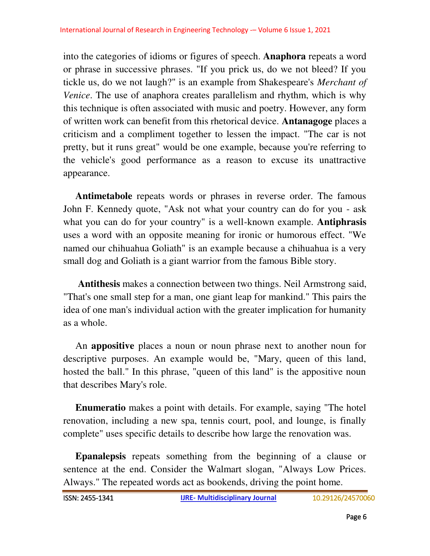into the categories of [idioms](https://examples.yourdictionary.com/idiom.html) or [figures of speech.](https://examples.yourdictionary.com/figure-of-speech-examples.html) **[Anaphora](http://examples.yourdictionary.com/anaphora-examples.html)** repeats a word or phrase in successive phrases. "If you prick us, do we not bleed? If you tickle us, do we not laugh?" is an example from Shakespeare's *Merchant of Venice*. The use of anaphora creates parallelism and rhythm, which is why this technique is often associated with music and poetry. However, any form of written work can benefit from this rhetorical device. **Antanagoge** places a criticism and a compliment together to lessen the impact. "The car is not pretty, but it runs great" would be one example, because you're referring to the vehicle's good performance as a reason to excuse its unattractive appearance.

 **Antimetabole** repeats words or phrases in reverse order. The famous [John F. Kennedy](http://quotes.yourdictionary.com/author/john-f-kennedy/) quote, "Ask not what your country can do for you - ask what you can do for your country" is a well-known example. **Antiphrasis** uses a word with an opposite meaning for ironic or humorous effect. "We named our chihuahua Goliath" is an example because a chihuahua is a very small dog and Goliath is a giant warrior from the famous Bible story.

**[Antithesis](http://examples.yourdictionary.com/examples-of-antithesis.html)** makes a connection between two things. [Neil Armstrong](https://biography.yourdictionary.com/neil-alden-armstrong) said, "That's one small step for a man, one giant leap for mankind." This pairs the idea of one man's individual action with the greater implication for humanity as a whole.

 An **[appositive](http://grammar.yourdictionary.com/parts-of-speech/nouns/example-of-an-appositive-noun.html)** places a noun or noun phrase next to another noun for descriptive purposes. An example would be, "Mary, queen of this land, hosted the ball." In this phrase, "queen of this land" is the appositive noun that describes Mary's role.

 **Enumeratio** makes a point with details. For example, saying "The hotel renovation, including a new spa, tennis court, pool, and lounge, is finally complete" uses specific details to describe how large the renovation was.

**[Epanalepsis](https://examples.yourdictionary.com/examples-of-epanalepsis.html)** repeats something from the beginning of a clause or sentence at the end. Consider the Walmart slogan, "Always Low Prices. Always." The repeated words act as bookends, driving the point home.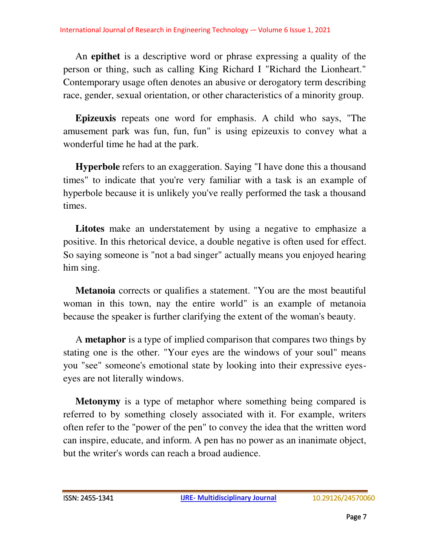An **[epithet](http://www.yourdictionary.com/epithet)** is a descriptive word or phrase expressing a quality of the person or thing, such as calling King Richard I "Richard the Lionheart." Contemporary usage often denotes an abusive or derogatory term describing race, gender, sexual orientation, or other characteristics of a minority group.

 **Epizeuxis** repeats one word for emphasis. A child who says, "The amusement park was fun, fun, fun" is using epizeuxis to convey what a wonderful time he had at the park.

**[Hyperbole](http://examples.yourdictionary.com/examples-of-hyperboles.html)** refers to an exaggeration. Saying "I have done this a thousand times" to indicate that you're very familiar with a task is an example of hyperbole because it is unlikely you've really performed the task a thousand times.

**[Litotes](https://examples.yourdictionary.com/litotes-examples.html)** make an understatement by using a negative to emphasize a positive. In this rhetorical device, a [double negative](https://examples.yourdictionary.com/examples-of-double-negatives.html) is often used for effect. So saying someone is "not a bad singer" actually means you enjoyed hearing him sing.

 **Metanoia** corrects or qualifies a statement. "You are the most beautiful woman in this town, nay the entire world" is an example of metanoia because the speaker is further clarifying the extent of the woman's beauty.

 A **[metaphor](http://examples.yourdictionary.com/metaphor-examples.html)** is a type of implied comparison that compares two things by stating one is the other. "Your eyes are the windows of your soul" means you "see" someone's emotional state by looking into their expressive eyeseyes are not literally windows.

**[Metonymy](http://examples.yourdictionary.com/examples-of-metonymy.html)** is a type of metaphor where something being compared is referred to by something closely associated with it. For example, writers often refer to the "power of the pen" to convey the idea that the written word can inspire, educate, and inform. A pen has no power as an inanimate object, but the writer's words can reach a broad audience.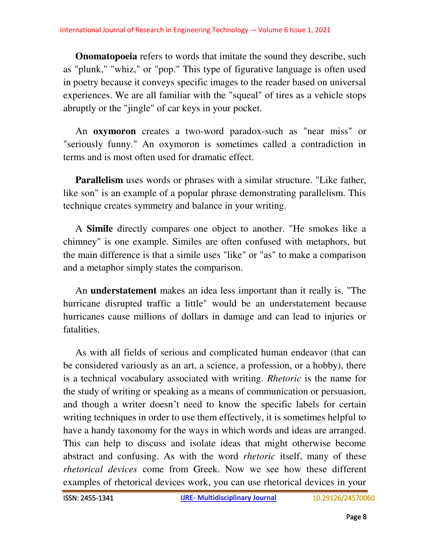**[Onomatopoeia](http://examples.yourdictionary.com/5-examples-of-onomatopoeia.html)**refers to words that imitate the sound they describe, such as "plunk," "whiz," or "pop." This type of figurative language is often used in poetry because it conveys specific images to the reader based on universal experiences. We are all familiar with the "squeal" of tires as a vehicle stops abruptly or the "jingle" of car keys in your pocket.

 An **[oxymoron](http://examples.yourdictionary.com/examples-of-oxymorons.html)** creates a two-word paradox-such as "near miss" or "seriously funny." An oxymoron is sometimes called a contradiction in terms and is most often used for dramatic effect.

**[Parallelism](http://examples.yourdictionary.com/examples-of-parallelism.html)** uses words or phrases with a similar structure. "Like father, like son" is an example of a popular phrase demonstrating parallelism. This technique creates symmetry and balance in your writing.

 A **[Simile](http://examples.yourdictionary.com/examples-of-similes.html)** directly compares one object to another. "He smokes like a chimney" is one example. Similes are often confused with metaphors, but the main difference is that a simile uses "like" or "as" to make a comparison and a metaphor simply states the comparison.

 An **[understatement](http://examples.yourdictionary.com/examples-of-understatement.html)** makes an idea less important than it really is. "The hurricane disrupted traffic a little" would be an understatement because hurricanes cause millions of dollars in damage and can lead to injuries or fatalities.

 As with all fields of serious and complicated human endeavor (that can be considered variously as an art, a science, a profession, or a hobby), there is a technical vocabulary associated with writing. *[Rhetoric](https://www.merriam-webster.com/dictionary/rhetoric)* is the name for the study of writing or speaking as a means of communication or persuasion, and though a writer doesn't need to know the specific labels for certain writing techniques in order to use them effectively, it is sometimes helpful to have a handy [taxonomy](https://www.merriam-webster.com/dictionary/taxonomy) for the ways in which words and ideas are arranged. This can help to discuss and isolate ideas that might otherwise become abstract and confusing. As with the word *rhetoric* itself, many of these *rhetorical devices* come from Greek. Now we see how these different examples of rhetorical devices work, you can use rhetorical devices in your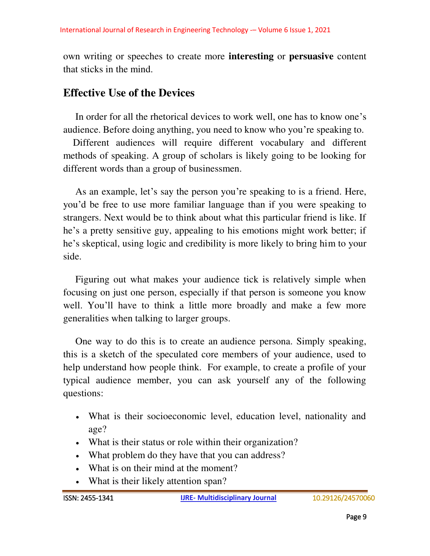own writing or speeches to create more **interesting** or **[persuasive](https://examples.yourdictionary.com/persuasive-writing-examples.html)** content that sticks in the mind.

#### **Effective Use of the Devices**

 In order for all the rhetorical devices to work well, one has to know one's audience. Before doing anything, you need to know who you're speaking to.

 Different audiences will require different vocabulary and different methods of speaking. A group of scholars is likely going to be looking for different words than a group of businessmen.

 As an example, let's say the person you're speaking to is a friend. Here, you'd be free to use more familiar language than if you were speaking to strangers. Next would be to think about what this particular friend is like. If he's a pretty sensitive guy, appealing to his emotions might work better; if he's skeptical, using logic and credibility is more likely to bring him to your side.

 Figuring out what makes your audience tick is relatively simple when focusing on just one person, especially if that person is someone you know well. You'll have to think a little more broadly and make a few more generalities when talking to larger groups.

 One way to do this is to create an audience persona. Simply speaking, this is a sketch of the speculated core members of your audience, used to help understand how people think. For example, to create a profile of your typical audience member, you can ask yourself any of the following [questions:](http://changingminds.org/techniques/speaking/preparing_presentation/know_audience.htm)

- What is their socioeconomic level, education level, nationality and age?
- What is their status or role within their organization?
- What problem do they have that you can address?
- What is on their mind at the moment?
- What is their likely attention span?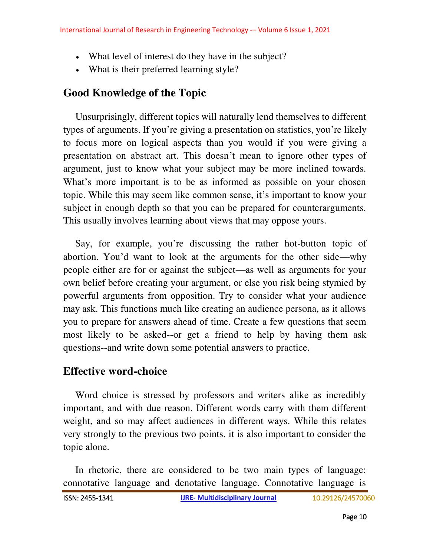- What level of interest do they have in the subject?
- What is their preferred learning style?

### **Good Knowledge of the Topic**

 Unsurprisingly, different topics will naturally lend themselves to different types of arguments. If you're giving a presentation on statistics, you're likely to focus more on logical aspects than you would if you were giving a presentation on abstract art. This doesn't mean to ignore other types of argument, just to know what your subject may be more inclined towards. What's more important is to be as informed as possible on your chosen topic. While this may seem like common sense, it's important to know your subject in enough depth so that you can be prepared for counterarguments. This usually involves learning about views that may oppose yours.

 Say, for example, you're discussing the rather hot-button topic of abortion. You'd want to look at the arguments for the other side—why people either are for or against the subject—as well as arguments for your own belief before creating your argument, or else you risk being stymied by powerful arguments from opposition. Try to consider what your audience may ask. This functions much like creating an audience persona, as it allows you to prepare for answers ahead of time. Create a few questions that seem most likely to be asked--or get a friend to help by having them ask questions--and write down some potential answers to practice.

### **Effective word-choice**

 Word choice is stressed by professors and writers alike as incredibly important, and with due reason. Different words carry with them different weight, and so may affect audiences in different ways. While this relates very strongly to the previous two points, it is also important to consider the topic alone.

 In rhetoric, there are considered to be two main types of language: connotative language and denotative language. Connotative language is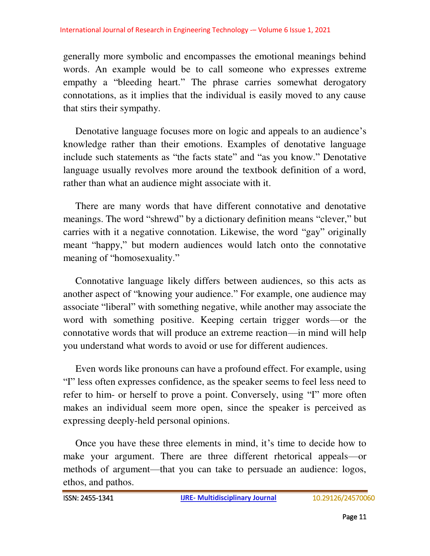generally more symbolic and encompasses the emotional meanings behind words. An example would be to call someone who expresses extreme empathy a "bleeding heart." The phrase carries somewhat derogatory connotations, as it implies that the individual is easily moved to any cause that stirs their sympathy.

 Denotative language focuses more on logic and appeals to an audience's knowledge rather than their emotions. Examples of denotative language include such statements as "the facts state" and "as you know." Denotative language usually revolves more around the textbook definition of a word, rather than what an audience might associate with it.

 There are many words that have different connotative and denotative meanings. The word "shrewd" by a dictionary definition means "clever," but carries with it a negative connotation. Likewise, the word "gay" originally meant "happy," but modern audiences would latch onto the connotative meaning of "homosexuality."

 Connotative language likely differs between audiences, so this acts as another aspect of "knowing your audience." For example, one audience may associate "liberal" with something negative, while another may associate the word with something positive. Keeping certain trigger words—or the connotative words that will produce an extreme reaction—in mind will help you understand what words to avoid or use for different audiences.

 Even words like pronouns can have a profound effect. For example, using "I" less often expresses confidence, as the speaker seems to feel less need to refer to him- or herself to prove a point. Conversely, using "I" more often makes an individual seem more open, since the speaker is perceived as expressing deeply-held personal opinions.

 Once you have these three elements in mind, it's time to decide how to make your argument. There are three different rhetorical appeals—or methods of argument—that you can take to persuade an audience: logos, ethos, and pathos.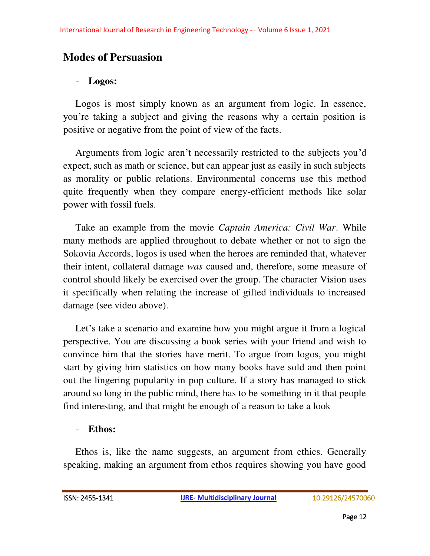# **Modes of Persuasion**

#### - **Logos:**

 Logos is most simply known as an argument from logic. In essence, you're taking a subject and giving the reasons why a certain position is positive or negative from the point of view of the facts.

 Arguments from logic aren't necessarily restricted to the subjects you'd expect, such as math or science, but can appear just as easily in such subjects as morality or public relations. Environmental concerns use this method quite frequently when they compare energy-efficient methods like solar power with fossil fuels.

 Take an example from the movie *Captain America: Civil War*. While many methods are applied throughout to debate whether or not to sign the Sokovia Accords, logos is used when the heroes are reminded that, whatever their intent, collateral damage *was* caused and, therefore, some measure of control should likely be exercised over the group. The character Vision uses it specifically when relating the increase of gifted individuals to increased damage (see video above).

 Let's take a scenario and examine how you might argue it from a logical perspective. You are discussing a book series with your friend and wish to convince him that the stories have merit. To argue from logos, you might start by giving him statistics on how many books have sold and then point out the lingering popularity in pop culture. If a story has managed to stick around so long in the public mind, there has to be something in it that people find interesting, and that might be enough of a reason to take a look

#### - **Ethos:**

 Ethos is, like the name suggests, an argument from ethics. Generally speaking, making an argument from ethos requires showing you have good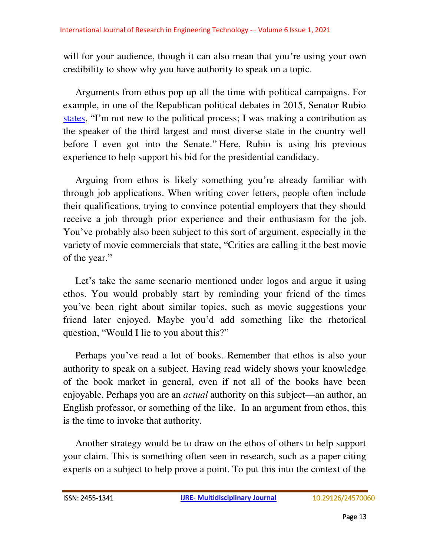will for your audience, though it can also mean that you're using your own credibility to show why you have authority to speak on a topic.

 Arguments from ethos pop up all the time with political campaigns. For example, in one of the Republican political debates in 2015, Senator Rubio [states,](http://time.com/3988276/republican-debate-primetime-transcript-full-text/) "I'm not new to the political process; I was making a contribution as the speaker of the third largest and most diverse state in the country well before I even got into the Senate." Here, Rubio is using his previous experience to help support his bid for the presidential candidacy.

 Arguing from ethos is likely something you're already familiar with through job applications. When writing cover letters, people often include their qualifications, trying to convince potential employers that they should receive a job through prior experience and their enthusiasm for the job. You've probably also been subject to this sort of argument, especially in the variety of movie commercials that state, "Critics are calling it the best movie of the year."

 Let's take the same scenario mentioned under logos and argue it using ethos. You would probably start by reminding your friend of the times you've been right about similar topics, such as movie suggestions your friend later enjoyed. Maybe you'd add something like the rhetorical question, "Would I lie to you about this?"

 Perhaps you've read a lot of books. Remember that ethos is also your authority to speak on a subject. Having read widely shows your knowledge of the book market in general, even if not all of the books have been enjoyable. Perhaps you are an *actual* authority on this subject—an author, an English professor, or something of the like. In an argument from ethos, this is the time to invoke that authority.

 Another strategy would be to draw on the ethos of others to help support your claim. This is something often seen in research, such as a paper citing experts on a subject to help prove a point. To put this into the context of the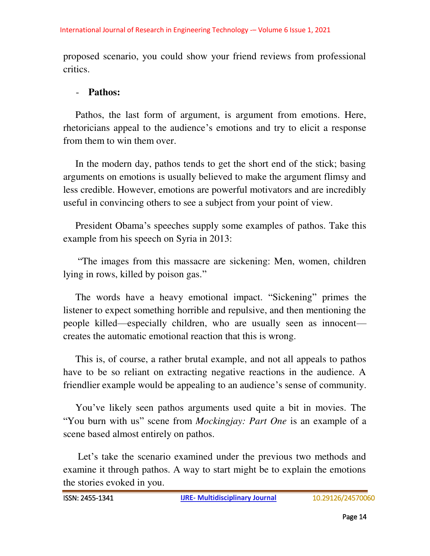proposed scenario, you could show your friend reviews from professional critics.

#### - **Pathos:**

 Pathos, the last form of argument, is argument from emotions. Here, rhetoricians appeal to the audience's emotions and try to elicit a response from them to win them over.

 In the modern day, pathos tends to get the short end of the stick; basing arguments on emotions is usually believed to make the argument flimsy and less credible. However, emotions are powerful motivators and are incredibly useful in convincing others to see a subject from your point of view.

 President Obama's speeches supply some examples of pathos. Take this example from his speech on Syria in 2013:

 "The images from this massacre are sickening: Men, women, children lying in rows, killed by poison gas."

 The words have a heavy emotional impact. "Sickening" primes the listener to expect something horrible and repulsive, and then mentioning the people killed—especially children, who are usually seen as innocent creates the automatic emotional reaction that this is wrong.

 This is, of course, a rather brutal example, and not all appeals to pathos have to be so reliant on extracting negative reactions in the audience. A friendlier example would be appealing to an audience's sense of community.

 You've likely seen pathos arguments used quite a bit in movies. The "You burn with us" scene from *Mockingjay: Part One* is an example of a scene based almost entirely on pathos.

 Let's take the scenario examined under the previous two methods and examine it through pathos. A way to start might be to explain the emotions the stories evoked in you.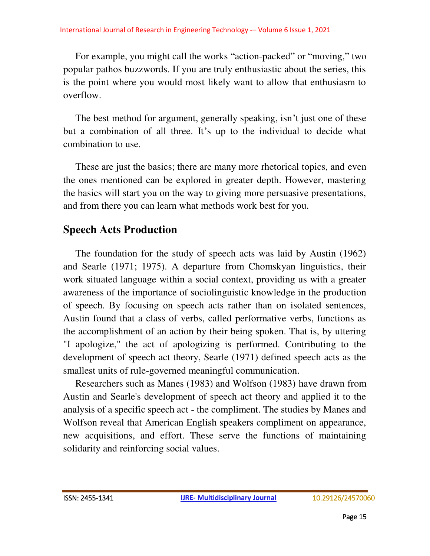For example, you might call the works "action-packed" or "moving," two popular pathos buzzwords. If you are truly enthusiastic about the series, this is the point where you would most likely want to allow that enthusiasm to overflow.

 The best method for argument, generally speaking, isn't just one of these but a combination of all three. It's up to the individual to decide what combination to use.

 These are just the basics; there are many more rhetorical topics, and even the ones mentioned can be explored in greater depth. However, mastering the basics will start you on the way to giving more persuasive presentations, and from there you can learn what methods work best for you.

### **Speech Acts Production**

 The foundation for the study of speech acts was laid by Austin (1962) and Searle (1971; 1975). A departure from Chomskyan linguistics, their work situated language within a social context, providing us with a greater awareness of the importance of sociolinguistic knowledge in the production of speech. By focusing on speech acts rather than on isolated sentences, Austin found that a class of verbs, called performative verbs, functions as the accomplishment of an action by their being spoken. That is, by uttering "I apologize," the act of apologizing is performed. Contributing to the development of speech act theory, Searle (1971) defined speech acts as the smallest units of rule-governed meaningful communication.

 Researchers such as Manes (1983) and Wolfson (1983) have drawn from Austin and Searle's development of speech act theory and applied it to the analysis of a specific speech act - the compliment. The studies by Manes and Wolfson reveal that American English speakers compliment on appearance, new acquisitions, and effort. These serve the functions of maintaining solidarity and reinforcing social values.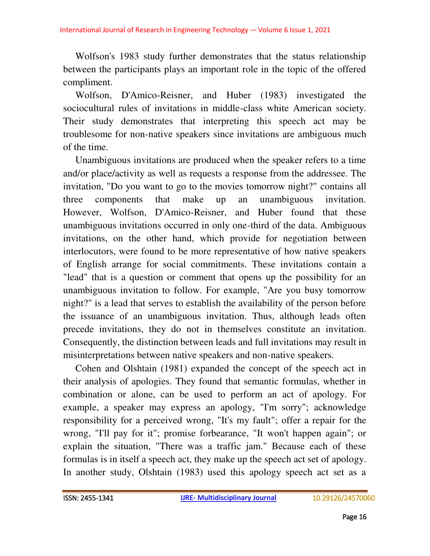Wolfson's 1983 study further demonstrates that the status relationship between the participants plays an important role in the topic of the offered compliment.

 Wolfson, D'Amico-Reisner, and Huber (1983) investigated the sociocultural rules of invitations in middle-class white American society. Their study demonstrates that interpreting this speech act may be troublesome for non-native speakers since invitations are ambiguous much of the time.

 Unambiguous invitations are produced when the speaker refers to a time and/or place/activity as well as requests a response from the addressee. The invitation, "Do you want to go to the movies tomorrow night?" contains all three components that make up an unambiguous invitation. However, Wolfson, D'Amico-Reisner, and Huber found that these unambiguous invitations occurred in only one-third of the data. Ambiguous invitations, on the other hand, which provide for negotiation between interlocutors, were found to be more representative of how native speakers of English arrange for social commitments. These invitations contain a "lead" that is a question or comment that opens up the possibility for an unambiguous invitation to follow. For example, "Are you busy tomorrow night?" is a lead that serves to establish the availability of the person before the issuance of an unambiguous invitation. Thus, although leads often precede invitations, they do not in themselves constitute an invitation. Consequently, the distinction between leads and full invitations may result in misinterpretations between native speakers and non-native speakers.

 Cohen and Olshtain (1981) expanded the concept of the speech act in their analysis of apologies. They found that semantic formulas, whether in combination or alone, can be used to perform an act of apology. For example, a speaker may express an apology, "I'm sorry"; acknowledge responsibility for a perceived wrong, "It's my fault"; offer a repair for the wrong, "I'll pay for it"; promise forbearance, "It won't happen again"; or explain the situation, "There was a traffic jam." Because each of these formulas is in itself a speech act, they make up the speech act set of apology. In another study, Olshtain (1983) used this apology speech act set as a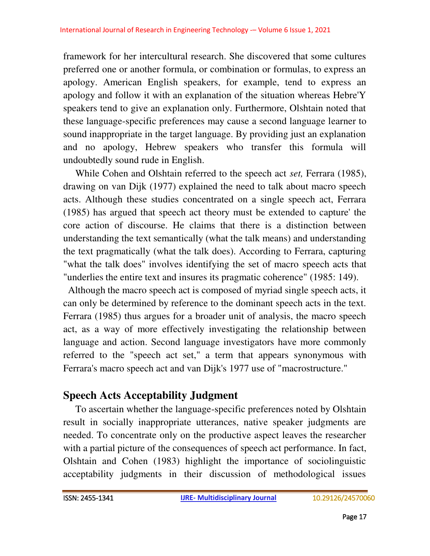framework for her intercultural research. She discovered that some cultures preferred one or another formula, or combination or formulas, to express an apology. American English speakers, for example, tend to express an apology and follow it with an explanation of the situation whereas Hebre'Y speakers tend to give an explanation only. Furthermore, Olshtain noted that these language-specific preferences may cause a second language learner to sound inappropriate in the target language. By providing just an explanation and no apology, Hebrew speakers who transfer this formula will undoubtedly sound rude in English.

 While Cohen and Olshtain referred to the speech act *set,* Ferrara (1985), drawing on van Dijk (1977) explained the need to talk about macro speech acts. Although these studies concentrated on a single speech act, Ferrara (1985) has argued that speech act theory must be extended to capture' the core action of discourse. He claims that there is a distinction between understanding the text semantically (what the talk means) and understanding the text pragmatically (what the talk does). According to Ferrara, capturing "what the talk does" involves identifying the set of macro speech acts that "underlies the entire text and insures its pragmatic coherence" (1985: 149).

 Although the macro speech act is composed of myriad single speech acts, it can only be determined by reference to the dominant speech acts in the text. Ferrara (1985) thus argues for a broader unit of analysis, the macro speech act, as a way of more effectively investigating the relationship between language and action. Second language investigators have more commonly referred to the "speech act set," a term that appears synonymous with Ferrara's macro speech act and van Dijk's 1977 use of "macrostructure."

# **Speech Acts Acceptability Judgment**

 To ascertain whether the language-specific preferences noted by Olshtain result in socially inappropriate utterances, native speaker judgments are needed. To concentrate only on the productive aspect leaves the researcher with a partial picture of the consequences of speech act performance. In fact, Olshtain and Cohen (1983) highlight the importance of sociolinguistic acceptability judgments in their discussion of methodological issues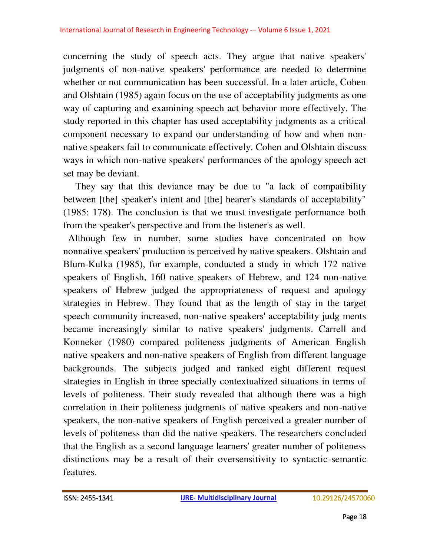concerning the study of speech acts. They argue that native speakers' judgments of non-native speakers' performance are needed to determine whether or not communication has been successful. In a later article, Cohen and Olshtain (1985) again focus on the use of acceptability judgments as one way of capturing and examining speech act behavior more effectively. The study reported in this chapter has used acceptability judgments as a critical component necessary to expand our understanding of how and when nonnative speakers fail to communicate effectively. Cohen and Olshtain discuss ways in which non-native speakers' performances of the apology speech act set may be deviant.

 They say that this deviance may be due to "a lack of compatibility between [the] speaker's intent and [the] hearer's standards of acceptability" (1985: 178). The conclusion is that we must investigate performance both from the speaker's perspective and from the listener's as well.

 Although few in number, some studies have concentrated on how nonnative speakers' production is perceived by native speakers. Olshtain and Blum-Kulka (1985), for example, conducted a study in which 172 native speakers of English, 160 native speakers of Hebrew, and 124 non-native speakers of Hebrew judged the appropriateness of request and apology strategies in Hebrew. They found that as the length of stay in the target speech community increased, non-native speakers' acceptability judg ments became increasingly similar to native speakers' judgments. Carrell and Konneker (1980) compared politeness judgments of American English native speakers and non-native speakers of English from different language backgrounds. The subjects judged and ranked eight different request strategies in English in three specially contextualized situations in terms of levels of politeness. Their study revealed that although there was a high correlation in their politeness judgments of native speakers and non-native speakers, the non-native speakers of English perceived a greater number of levels of politeness than did the native speakers. The researchers concluded that the English as a second language learners' greater number of politeness distinctions may be a result of their oversensitivity to syntactic-semantic features.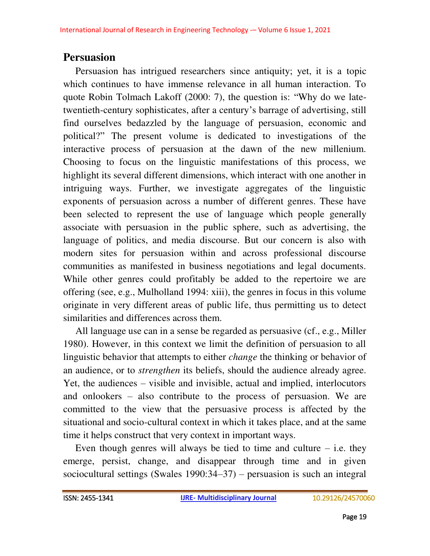### **Persuasion**

 Persuasion has intrigued researchers since antiquity; yet, it is a topic which continues to have immense relevance in all human interaction. To quote Robin Tolmach Lakoff (2000: 7), the question is: "Why do we latetwentieth-century sophisticates, after a century's barrage of advertising, still find ourselves bedazzled by the language of persuasion, economic and political?" The present volume is dedicated to investigations of the interactive process of persuasion at the dawn of the new millenium. Choosing to focus on the linguistic manifestations of this process, we highlight its several different dimensions, which interact with one another in intriguing ways. Further, we investigate aggregates of the linguistic exponents of persuasion across a number of different genres. These have been selected to represent the use of language which people generally associate with persuasion in the public sphere, such as advertising, the language of politics, and media discourse. But our concern is also with modern sites for persuasion within and across professional discourse communities as manifested in business negotiations and legal documents. While other genres could profitably be added to the repertoire we are offering (see, e.g., Mulholland 1994: xiii), the genres in focus in this volume originate in very different areas of public life, thus permitting us to detect similarities and differences across them.

 All language use can in a sense be regarded as persuasive (cf., e.g., Miller 1980). However, in this context we limit the definition of persuasion to all linguistic behavior that attempts to either *change* the thinking or behavior of an audience, or to *strengthen* its beliefs, should the audience already agree. Yet, the audiences – visible and invisible, actual and implied, interlocutors and onlookers – also contribute to the process of persuasion. We are committed to the view that the persuasive process is affected by the situational and socio-cultural context in which it takes place, and at the same time it helps construct that very context in important ways.

Even though genres will always be tied to time and culture  $-$  i.e. they emerge, persist, change, and disappear through time and in given sociocultural settings (Swales 1990:34–37) – persuasion is such an integral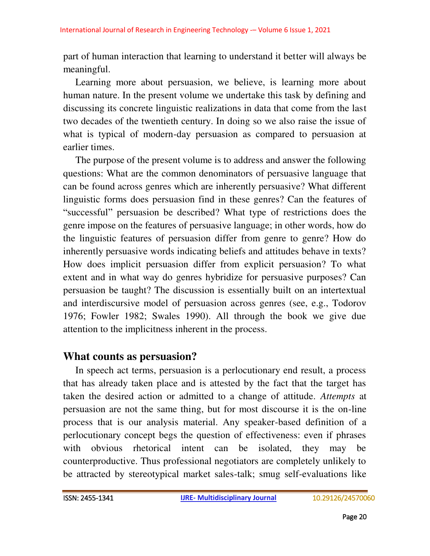part of human interaction that learning to understand it better will always be meaningful.

 Learning more about persuasion, we believe, is learning more about human nature. In the present volume we undertake this task by defining and discussing its concrete linguistic realizations in data that come from the last two decades of the twentieth century. In doing so we also raise the issue of what is typical of modern-day persuasion as compared to persuasion at earlier times.

 The purpose of the present volume is to address and answer the following questions: What are the common denominators of persuasive language that can be found across genres which are inherently persuasive? What different linguistic forms does persuasion find in these genres? Can the features of "successful" persuasion be described? What type of restrictions does the genre impose on the features of persuasive language; in other words, how do the linguistic features of persuasion differ from genre to genre? How do inherently persuasive words indicating beliefs and attitudes behave in texts? How does implicit persuasion differ from explicit persuasion? To what extent and in what way do genres hybridize for persuasive purposes? Can persuasion be taught? The discussion is essentially built on an intertextual and interdiscursive model of persuasion across genres (see, e.g., Todorov 1976; Fowler 1982; Swales 1990). All through the book we give due attention to the implicitness inherent in the process.

### **What counts as persuasion?**

 In speech act terms, persuasion is a perlocutionary end result, a process that has already taken place and is attested by the fact that the target has taken the desired action or admitted to a change of attitude. *Attempts* at persuasion are not the same thing, but for most discourse it is the on-line process that is our analysis material. Any speaker-based definition of a perlocutionary concept begs the question of effectiveness: even if phrases with obvious rhetorical intent can be isolated, they may be counterproductive. Thus professional negotiators are completely unlikely to be attracted by stereotypical market sales-talk; smug self-evaluations like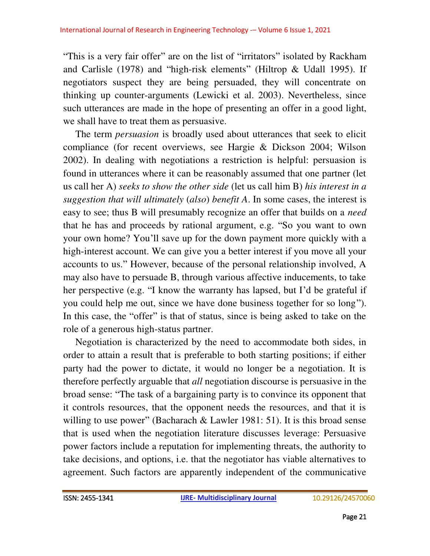"This is a very fair offer" are on the list of "irritators" isolated by Rackham and Carlisle (1978) and "high-risk elements" (Hiltrop & Udall 1995). If negotiators suspect they are being persuaded, they will concentrate on thinking up counter-arguments (Lewicki et al. 2003). Nevertheless, since such utterances are made in the hope of presenting an offer in a good light, we shall have to treat them as persuasive.

 The term *persuasion* is broadly used about utterances that seek to elicit compliance (for recent overviews, see Hargie & Dickson 2004; Wilson 2002). In dealing with negotiations a restriction is helpful: persuasion is found in utterances where it can be reasonably assumed that one partner (let us call her A) *seeks to show the other side* (let us call him B) *his interest in a suggestion that will ultimately* (*also*) *benefit A*. In some cases, the interest is easy to see; thus B will presumably recognize an offer that builds on a *need*  that he has and proceeds by rational argument, e.g. "So you want to own your own home? You'll save up for the down payment more quickly with a high-interest account. We can give you a better interest if you move all your accounts to us." However, because of the personal relationship involved, A may also have to persuade B, through various affective inducements, to take her perspective (e.g. "I know the warranty has lapsed, but I'd be grateful if you could help me out, since we have done business together for so long"). In this case, the "offer" is that of status, since is being asked to take on the role of a generous high-status partner.

 Negotiation is characterized by the need to accommodate both sides, in order to attain a result that is preferable to both starting positions; if either party had the power to dictate, it would no longer be a negotiation. It is therefore perfectly arguable that *all* negotiation discourse is persuasive in the broad sense: "The task of a bargaining party is to convince its opponent that it controls resources, that the opponent needs the resources, and that it is willing to use power" (Bacharach & Lawler 1981: 51). It is this broad sense that is used when the negotiation literature discusses leverage: Persuasive power factors include a reputation for implementing threats, the authority to take decisions, and options, i.e. that the negotiator has viable alternatives to agreement. Such factors are apparently independent of the communicative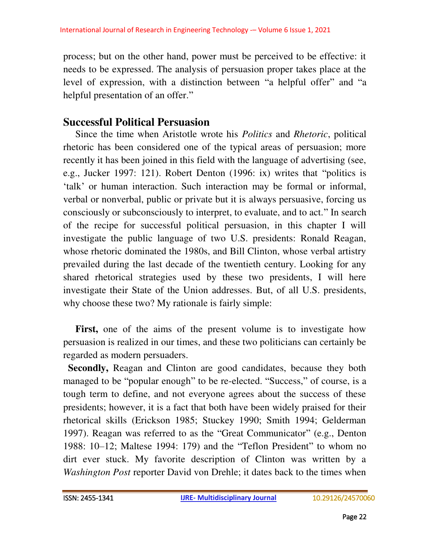process; but on the other hand, power must be perceived to be effective: it needs to be expressed. The analysis of persuasion proper takes place at the level of expression, with a distinction between "a helpful offer" and "a helpful presentation of an offer."

#### **Successful Political Persuasion**

 Since the time when Aristotle wrote his *Politics* and *Rhetoric*, political rhetoric has been considered one of the typical areas of persuasion; more recently it has been joined in this field with the language of advertising (see, e.g., Jucker 1997: 121). Robert Denton (1996: ix) writes that "politics is 'talk' or human interaction. Such interaction may be formal or informal, verbal or nonverbal, public or private but it is always persuasive, forcing us consciously or subconsciously to interpret, to evaluate, and to act." In search of the recipe for successful political persuasion, in this chapter I will investigate the public language of two U.S. presidents: Ronald Reagan, whose rhetoric dominated the 1980s, and Bill Clinton, whose verbal artistry prevailed during the last decade of the twentieth century. Looking for any shared rhetorical strategies used by these two presidents, I will here investigate their State of the Union addresses. But, of all U.S. presidents, why choose these two? My rationale is fairly simple:

First, one of the aims of the present volume is to investigate how persuasion is realized in our times, and these two politicians can certainly be regarded as modern persuaders.

 **Secondly,** Reagan and Clinton are good candidates, because they both managed to be "popular enough" to be re-elected. "Success," of course, is a tough term to define, and not everyone agrees about the success of these presidents; however, it is a fact that both have been widely praised for their rhetorical skills (Erickson 1985; Stuckey 1990; Smith 1994; Gelderman 1997). Reagan was referred to as the "Great Communicator" (e.g., Denton 1988: 10–12; Maltese 1994: 179) and the "Teflon President" to whom no dirt ever stuck. My favorite description of Clinton was written by a *Washington Post* reporter David von Drehle; it dates back to the times when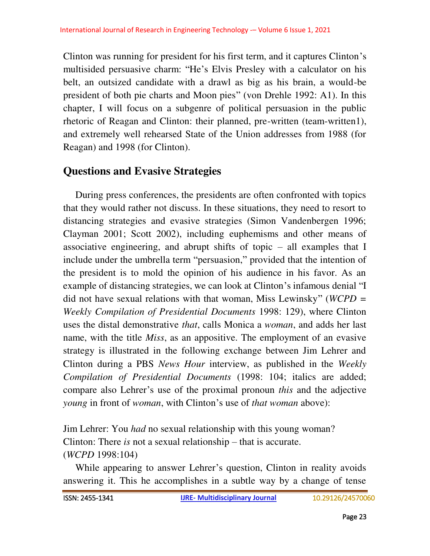Clinton was running for president for his first term, and it captures Clinton's multisided persuasive charm: "He's Elvis Presley with a calculator on his belt, an outsized candidate with a drawl as big as his brain, a would-be president of both pie charts and Moon pies" (von Drehle 1992: A1). In this chapter, I will focus on a subgenre of political persuasion in the public rhetoric of Reagan and Clinton: their planned, pre-written (team-written1), and extremely well rehearsed State of the Union addresses from 1988 (for Reagan) and 1998 (for Clinton).

#### **Questions and Evasive Strategies**

 During press conferences, the presidents are often confronted with topics that they would rather not discuss. In these situations, they need to resort to distancing strategies and evasive strategies (Simon Vandenbergen 1996; Clayman 2001; Scott 2002), including euphemisms and other means of associative engineering, and abrupt shifts of topic – all examples that I include under the umbrella term "persuasion," provided that the intention of the president is to mold the opinion of his audience in his favor. As an example of distancing strategies, we can look at Clinton's infamous denial "I did not have sexual relations with that woman, Miss Lewinsky" (*WCPD = Weekly Compilation of Presidential Documents* 1998: 129), where Clinton uses the distal demonstrative *that*, calls Monica a *woman*, and adds her last name, with the title *Miss*, as an appositive. The employment of an evasive strategy is illustrated in the following exchange between Jim Lehrer and Clinton during a PBS *News Hour* interview, as published in the *Weekly Compilation of Presidential Documents* (1998: 104; italics are added; compare also Lehrer's use of the proximal pronoun *this* and the adjective *young* in front of *woman*, with Clinton's use of *that woman* above):

Jim Lehrer: You *had* no sexual relationship with this young woman? Clinton: There *is* not a sexual relationship – that is accurate. (*WCPD* 1998:104)

 While appearing to answer Lehrer's question, Clinton in reality avoids answering it. This he accomplishes in a subtle way by a change of tense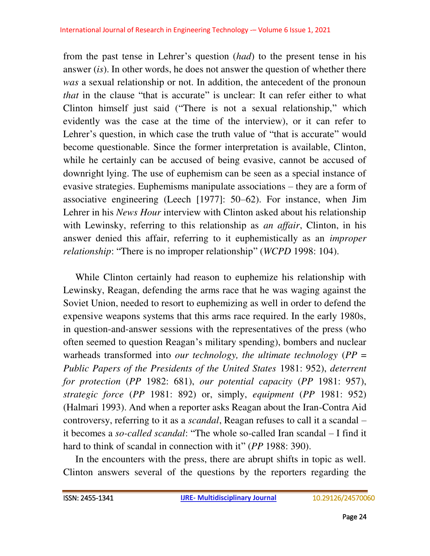from the past tense in Lehrer's question (*had*) to the present tense in his answer (*is*). In other words, he does not answer the question of whether there *was* a sexual relationship or not. In addition, the antecedent of the pronoun *that* in the clause "that is accurate" is unclear: It can refer either to what Clinton himself just said ("There is not a sexual relationship," which evidently was the case at the time of the interview), or it can refer to Lehrer's question, in which case the truth value of "that is accurate" would become questionable. Since the former interpretation is available, Clinton, while he certainly can be accused of being evasive, cannot be accused of downright lying. The use of euphemism can be seen as a special instance of evasive strategies. Euphemisms manipulate associations – they are a form of associative engineering (Leech [1977]: 50–62). For instance, when Jim Lehrer in his *News Hour* interview with Clinton asked about his relationship with Lewinsky, referring to this relationship as *an affair*, Clinton, in his answer denied this affair, referring to it euphemistically as an *improper relationship*: "There is no improper relationship" (*WCPD* 1998: 104).

 While Clinton certainly had reason to euphemize his relationship with Lewinsky, Reagan, defending the arms race that he was waging against the Soviet Union, needed to resort to euphemizing as well in order to defend the expensive weapons systems that this arms race required. In the early 1980s, in question-and-answer sessions with the representatives of the press (who often seemed to question Reagan's military spending), bombers and nuclear warheads transformed into *our technology, the ultimate technology* (*PP* = *Public Papers of the Presidents of the United States* 1981: 952), *deterrent for protection* (*PP* 1982: 681), *our potential capacity* (*PP* 1981: 957), *strategic force* (*PP* 1981: 892) or, simply, *equipment* (*PP* 1981: 952) (Halmari 1993). And when a reporter asks Reagan about the Iran-Contra Aid controversy, referring to it as a *scandal*, Reagan refuses to call it a scandal – it becomes a *so-called scandal*: "The whole so-called Iran scandal – I find it hard to think of scandal in connection with it" (*PP* 1988: 390).

 In the encounters with the press, there are abrupt shifts in topic as well. Clinton answers several of the questions by the reporters regarding the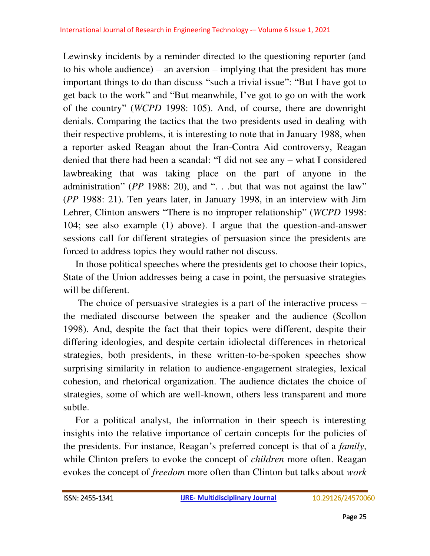Lewinsky incidents by a reminder directed to the questioning reporter (and to his whole audience) – an aversion – implying that the president has more important things to do than discuss "such a trivial issue": "But I have got to get back to the work" and "But meanwhile, I've got to go on with the work of the country" (*WCPD* 1998: 105). And, of course, there are downright denials. Comparing the tactics that the two presidents used in dealing with their respective problems, it is interesting to note that in January 1988, when a reporter asked Reagan about the Iran-Contra Aid controversy, Reagan denied that there had been a scandal: "I did not see any – what I considered lawbreaking that was taking place on the part of anyone in the administration" (*PP* 1988: 20), and ". . .but that was not against the law" (*PP* 1988: 21). Ten years later, in January 1998, in an interview with Jim Lehrer, Clinton answers "There is no improper relationship" (*WCPD* 1998: 104; see also example (1) above). I argue that the question-and-answer sessions call for different strategies of persuasion since the presidents are forced to address topics they would rather not discuss.

 In those political speeches where the presidents get to choose their topics, State of the Union addresses being a case in point, the persuasive strategies will be different.

 The choice of persuasive strategies is a part of the interactive process – the mediated discourse between the speaker and the audience (Scollon 1998). And, despite the fact that their topics were different, despite their differing ideologies, and despite certain idiolectal differences in rhetorical strategies, both presidents, in these written-to-be-spoken speeches show surprising similarity in relation to audience-engagement strategies, lexical cohesion, and rhetorical organization. The audience dictates the choice of strategies, some of which are well-known, others less transparent and more subtle.

 For a political analyst, the information in their speech is interesting insights into the relative importance of certain concepts for the policies of the presidents. For instance, Reagan's preferred concept is that of a *family*, while Clinton prefers to evoke the concept of *children* more often. Reagan evokes the concept of *freedom* more often than Clinton but talks about *work*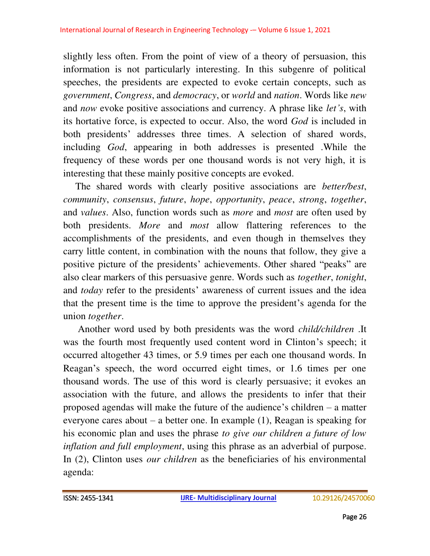slightly less often. From the point of view of a theory of persuasion, this information is not particularly interesting. In this subgenre of political speeches, the presidents are expected to evoke certain concepts, such as *government*, *Congress*, and *democracy*, or *world* and *nation*. Words like *new*  and *now* evoke positive associations and currency. A phrase like *let's*, with its hortative force, is expected to occur. Also, the word *God* is included in both presidents' addresses three times. A selection of shared words, including *God*, appearing in both addresses is presented .While the frequency of these words per one thousand words is not very high, it is interesting that these mainly positive concepts are evoked.

 The shared words with clearly positive associations are *better/best*, *community*, *consensus*, *future*, *hope*, *opportunity*, *peace*, *strong*, *together*, and *values*. Also, function words such as *more* and *most* are often used by both presidents. *More* and *most* allow flattering references to the accomplishments of the presidents, and even though in themselves they carry little content, in combination with the nouns that follow, they give a positive picture of the presidents' achievements. Other shared "peaks" are also clear markers of this persuasive genre. Words such as *together*, *tonight*, and *today* refer to the presidents' awareness of current issues and the idea that the present time is the time to approve the president's agenda for the union *together*.

 Another word used by both presidents was the word *child/children* .It was the fourth most frequently used content word in Clinton's speech; it occurred altogether 43 times, or 5.9 times per each one thousand words. In Reagan's speech, the word occurred eight times, or 1.6 times per one thousand words. The use of this word is clearly persuasive; it evokes an association with the future, and allows the presidents to infer that their proposed agendas will make the future of the audience's children – a matter everyone cares about – a better one. In example  $(1)$ , Reagan is speaking for his economic plan and uses the phrase *to give our children a future of low inflation and full employment*, using this phrase as an adverbial of purpose. In (2), Clinton uses *our children* as the beneficiaries of his environmental agenda: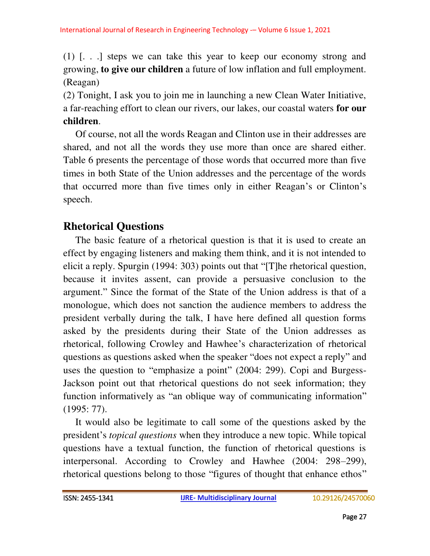(1) [. . .] steps we can take this year to keep our economy strong and growing, **to give our children** a future of low inflation and full employment. (Reagan)

(2) Tonight, I ask you to join me in launching a new Clean Water Initiative, a far-reaching effort to clean our rivers, our lakes, our coastal waters **for our children**.

 Of course, not all the words Reagan and Clinton use in their addresses are shared, and not all the words they use more than once are shared either. Table 6 presents the percentage of those words that occurred more than five times in both State of the Union addresses and the percentage of the words that occurred more than five times only in either Reagan's or Clinton's speech.

#### **Rhetorical Questions**

 The basic feature of a rhetorical question is that it is used to create an effect by engaging listeners and making them think, and it is not intended to elicit a reply. Spurgin (1994: 303) points out that "[T]he rhetorical question, because it invites assent, can provide a persuasive conclusion to the argument." Since the format of the State of the Union address is that of a monologue, which does not sanction the audience members to address the president verbally during the talk, I have here defined all question forms asked by the presidents during their State of the Union addresses as rhetorical, following Crowley and Hawhee's characterization of rhetorical questions as questions asked when the speaker "does not expect a reply" and uses the question to "emphasize a point" (2004: 299). Copi and Burgess-Jackson point out that rhetorical questions do not seek information; they function informatively as "an oblique way of communicating information" (1995: 77).

 It would also be legitimate to call some of the questions asked by the president's *topical questions* when they introduce a new topic. While topical questions have a textual function, the function of rhetorical questions is interpersonal. According to Crowley and Hawhee (2004: 298–299), rhetorical questions belong to those "figures of thought that enhance ethos"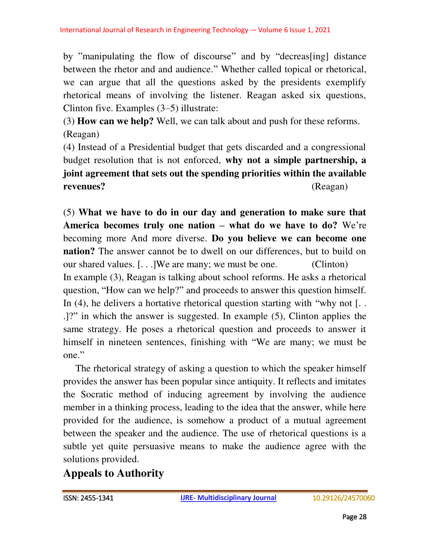by "manipulating the flow of discourse" and by "decreas[ing] distance between the rhetor and and audience." Whether called topical or rhetorical, we can argue that all the questions asked by the presidents exemplify rhetorical means of involving the listener. Reagan asked six questions, Clinton five. Examples (3–5) illustrate:

(3) **How can we help?** Well, we can talk about and push for these reforms. (Reagan)

(4) Instead of a Presidential budget that gets discarded and a congressional budget resolution that is not enforced, **why not a simple partnership, a joint agreement that sets out the spending priorities within the available revenues?** (Reagan)

(5) **What we have to do in our day and generation to make sure that America becomes truly one nation – what do we have to do?** We're becoming more And more diverse. **Do you believe we can become one nation?** The answer cannot be to dwell on our differences, but to build on our shared values. [. . .]We are many; we must be one. (Clinton) In example (3), Reagan is talking about school reforms. He asks a rhetorical question, "How can we help?" and proceeds to answer this question himself. In (4), he delivers a hortative rhetorical question starting with "why not [. . .]?" in which the answer is suggested. In example (5), Clinton applies the same strategy. He poses a rhetorical question and proceeds to answer it himself in nineteen sentences, finishing with "We are many; we must be one."

 The rhetorical strategy of asking a question to which the speaker himself provides the answer has been popular since antiquity. It reflects and imitates the Socratic method of inducing agreement by involving the audience member in a thinking process, leading to the idea that the answer, while here provided for the audience, is somehow a product of a mutual agreement between the speaker and the audience. The use of rhetorical questions is a subtle yet quite persuasive means to make the audience agree with the solutions provided.

# **Appeals to Authority**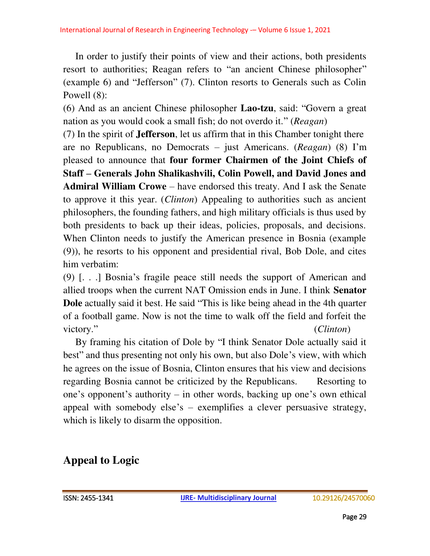In order to justify their points of view and their actions, both presidents resort to authorities; Reagan refers to "an ancient Chinese philosopher" (example 6) and "Jefferson" (7). Clinton resorts to Generals such as Colin Powell (8):

(6) And as an ancient Chinese philosopher **Lao-tzu**, said: "Govern a great nation as you would cook a small fish; do not overdo it." (*Reagan*)

(7) In the spirit of **Jefferson**, let us affirm that in this Chamber tonight there are no Republicans, no Democrats – just Americans. (*Reagan*) (8) I'm pleased to announce that **four former Chairmen of the Joint Chiefs of Staff – Generals John Shalikashvili, Colin Powell, and David Jones and Admiral William Crowe** – have endorsed this treaty. And I ask the Senate to approve it this year. (*Clinton*) Appealing to authorities such as ancient philosophers, the founding fathers, and high military officials is thus used by both presidents to back up their ideas, policies, proposals, and decisions. When Clinton needs to justify the American presence in Bosnia (example (9)), he resorts to his opponent and presidential rival, Bob Dole, and cites him verbatim:

(9) [. . .] Bosnia's fragile peace still needs the support of American and allied troops when the current NAT Omission ends in June. I think **Senator Dole** actually said it best. He said "This is like being ahead in the 4th quarter of a football game. Now is not the time to walk off the field and forfeit the victory." (*Clinton*)

 By framing his citation of Dole by "I think Senator Dole actually said it best" and thus presenting not only his own, but also Dole's view, with which he agrees on the issue of Bosnia, Clinton ensures that his view and decisions regarding Bosnia cannot be criticized by the Republicans. Resorting to one's opponent's authority – in other words, backing up one's own ethical appeal with somebody else's – exemplifies a clever persuasive strategy, which is likely to disarm the opposition.

**Appeal to Logic**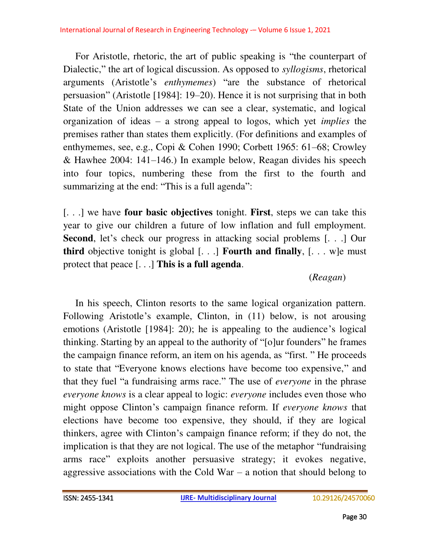For Aristotle, rhetoric, the art of public speaking is "the counterpart of Dialectic," the art of logical discussion. As opposed to *syllogisms*, rhetorical arguments (Aristotle's *enthymemes*) "are the substance of rhetorical persuasion" (Aristotle [1984]: 19–20). Hence it is not surprising that in both State of the Union addresses we can see a clear, systematic, and logical organization of ideas – a strong appeal to logos, which yet *implies* the premises rather than states them explicitly. (For definitions and examples of enthymemes, see, e.g., Copi & Cohen 1990; Corbett 1965: 61–68; Crowley & Hawhee 2004: 141–146.) In example below, Reagan divides his speech into four topics, numbering these from the first to the fourth and summarizing at the end: "This is a full agenda":

[. . .] we have **four basic objectives** tonight. **First**, steps we can take this year to give our children a future of low inflation and full employment. **Second**, let's check our progress in attacking social problems [. . .] Our **third** objective tonight is global [. . .] **Fourth and finally**, [. . . w]e must protect that peace [. . .] **This is a full agenda**.

(*Reagan*)

 In his speech, Clinton resorts to the same logical organization pattern. Following Aristotle's example, Clinton, in (11) below, is not arousing emotions (Aristotle [1984]: 20); he is appealing to the audience's logical thinking. Starting by an appeal to the authority of "[o]ur founders" he frames the campaign finance reform, an item on his agenda, as "first. " He proceeds to state that "Everyone knows elections have become too expensive," and that they fuel "a fundraising arms race." The use of *everyone* in the phrase *everyone knows* is a clear appeal to logic: *everyone* includes even those who might oppose Clinton's campaign finance reform. If *everyone knows* that elections have become too expensive, they should, if they are logical thinkers, agree with Clinton's campaign finance reform; if they do not, the implication is that they are not logical. The use of the metaphor "fundraising arms race" exploits another persuasive strategy; it evokes negative, aggressive associations with the Cold War – a notion that should belong to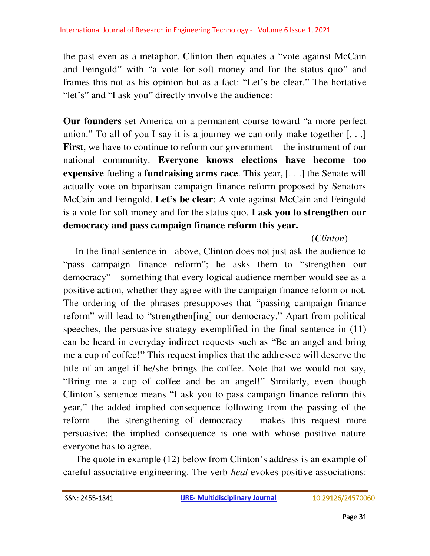the past even as a metaphor. Clinton then equates a "vote against McCain and Feingold" with "a vote for soft money and for the status quo" and frames this not as his opinion but as a fact: "Let's be clear." The hortative "let's" and "I ask you" directly involve the audience:

**Our founders** set America on a permanent course toward "a more perfect union." To all of you I say it is a journey we can only make together [. . .] **First**, we have to continue to reform our government – the instrument of our national community. **Everyone knows elections have become too expensive** fueling a **fundraising arms race**. This year, [...] the Senate will actually vote on bipartisan campaign finance reform proposed by Senators McCain and Feingold. **Let's be clear**: A vote against McCain and Feingold is a vote for soft money and for the status quo. **I ask you to strengthen our democracy and pass campaign finance reform this year.** 

(*Clinton*)

 In the final sentence in above, Clinton does not just ask the audience to "pass campaign finance reform"; he asks them to "strengthen our democracy" – something that every logical audience member would see as a positive action, whether they agree with the campaign finance reform or not. The ordering of the phrases presupposes that "passing campaign finance reform" will lead to "strengthen[ing] our democracy." Apart from political speeches, the persuasive strategy exemplified in the final sentence in (11) can be heard in everyday indirect requests such as "Be an angel and bring me a cup of coffee!" This request implies that the addressee will deserve the title of an angel if he/she brings the coffee. Note that we would not say, "Bring me a cup of coffee and be an angel!" Similarly, even though Clinton's sentence means "I ask you to pass campaign finance reform this year," the added implied consequence following from the passing of the reform – the strengthening of democracy – makes this request more persuasive; the implied consequence is one with whose positive nature everyone has to agree.

 The quote in example (12) below from Clinton's address is an example of careful associative engineering. The verb *heal* evokes positive associations: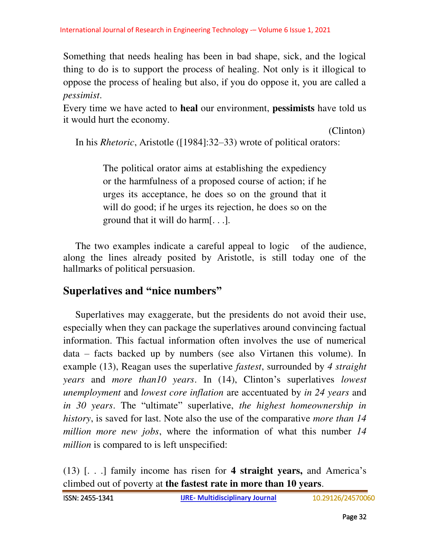Something that needs healing has been in bad shape, sick, and the logical thing to do is to support the process of healing. Not only is it illogical to oppose the process of healing but also, if you do oppose it, you are called a *pessimist*.

Every time we have acted to **heal** our environment, **pessimists** have told us it would hurt the economy.

(Clinton)

In his *Rhetoric*, Aristotle ([1984]:32–33) wrote of political orators:

The political orator aims at establishing the expediency or the harmfulness of a proposed course of action; if he urges its acceptance, he does so on the ground that it will do good; if he urges its rejection, he does so on the ground that it will do harm[. . .].

 The two examples indicate a careful appeal to logic of the audience, along the lines already posited by Aristotle, is still today one of the hallmarks of political persuasion.

#### **Superlatives and "nice numbers"**

 Superlatives may exaggerate, but the presidents do not avoid their use, especially when they can package the superlatives around convincing factual information. This factual information often involves the use of numerical data – facts backed up by numbers (see also Virtanen this volume). In example (13), Reagan uses the superlative *fastest*, surrounded by *4 straight years* and *more than10 years*. In (14), Clinton's superlatives *lowest unemployment* and *lowest core inflation* are accentuated by *in 24 years* and *in 30 years*. The "ultimate" superlative, *the highest homeownership in history*, is saved for last. Note also the use of the comparative *more than 14 million more new jobs*, where the information of what this number *14 million* is compared to is left unspecified:

(13) [. . .] family income has risen for **4 straight years,** and America's climbed out of poverty at **the fastest rate in more than 10 years**.

ISSN: 2455-1341 **[IJRE- Multidisciplinary Journal](http://www.internationaljournalisar.org/ijre/index.html)** 10.29126/24570060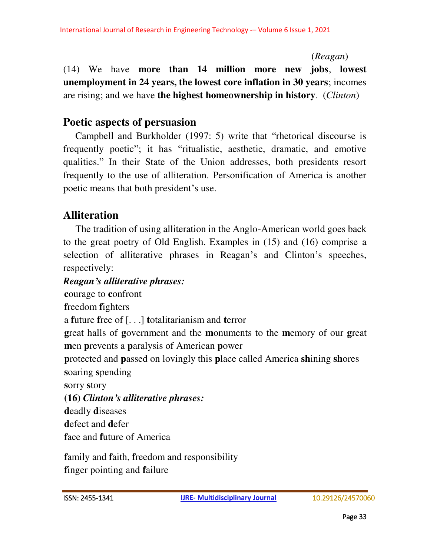(*Reagan*)

(14) We have **more than 14 million more new jobs**, **lowest unemployment in 24 years, the lowest core inflation in 30 years**; incomes are rising; and we have **the highest homeownership in history**. (*Clinton*)

### **Poetic aspects of persuasion**

 Campbell and Burkholder (1997: 5) write that "rhetorical discourse is frequently poetic"; it has "ritualistic, aesthetic, dramatic, and emotive qualities." In their State of the Union addresses, both presidents resort frequently to the use of alliteration. Personification of America is another poetic means that both president's use.

### **Alliteration**

 The tradition of using alliteration in the Anglo-American world goes back to the great poetry of Old English. Examples in (15) and (16) comprise a selection of alliterative phrases in Reagan's and Clinton's speeches, respectively:

#### *Reagan's alliterative phrases:*

**c**ourage to **c**onfront

**f**reedom **f**ighters

a **f**uture **f**ree of [. . .] **t**otalitarianism and **t**error

**g**reat halls of **g**overnment and the **m**onuments to the **m**emory of our **g**reat **m**en **p**revents a **p**aralysis of American **p**ower

**p**rotected and **p**assed on lovingly this **p**lace called America **sh**ining **sh**ores **s**oaring **s**pending

**s**orry **s**tory

**(16)** *Clinton's alliterative phrases:* 

**d**eadly **d**iseases

**d**efect and **d**efer

**f**ace and **f**uture of America

**f**amily and **f**aith, **f**reedom and responsibility **f**inger pointing and **f**ailure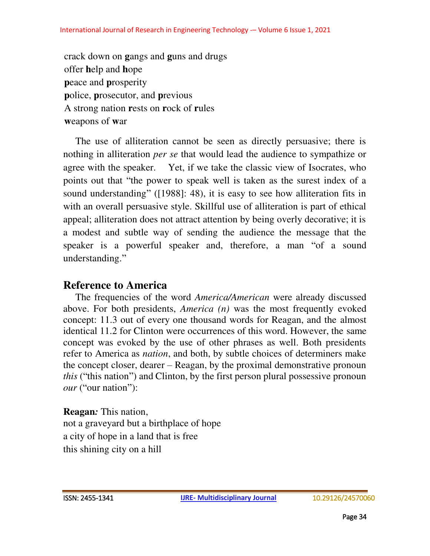crack down on **g**angs and **g**uns and drugs offer **h**elp and **h**ope **p**eace and **p**rosperity **p**olice, **p**rosecutor, and **p**revious A strong nation **r**ests on **r**ock of **r**ules **w**eapons of **w**ar

 The use of alliteration cannot be seen as directly persuasive; there is nothing in alliteration *per se* that would lead the audience to sympathize or agree with the speaker. Yet, if we take the classic view of Isocrates, who points out that "the power to speak well is taken as the surest index of a sound understanding" ([1988]: 48), it is easy to see how alliteration fits in with an overall persuasive style. Skillful use of alliteration is part of ethical appeal; alliteration does not attract attention by being overly decorative; it is a modest and subtle way of sending the audience the message that the speaker is a powerful speaker and, therefore, a man "of a sound understanding."

#### **Reference to America**

 The frequencies of the word *America/American* were already discussed above. For both presidents, *America (n)* was the most frequently evoked concept: 11.3 out of every one thousand words for Reagan, and the almost identical 11.2 for Clinton were occurrences of this word. However, the same concept was evoked by the use of other phrases as well. Both presidents refer to America as *nation*, and both, by subtle choices of determiners make the concept closer, dearer – Reagan, by the proximal demonstrative pronoun *this* ("this nation") and Clinton, by the first person plural possessive pronoun *our* ("our nation"):

#### **Reagan***:* This nation,

not a graveyard but a birthplace of hope a city of hope in a land that is free this shining city on a hill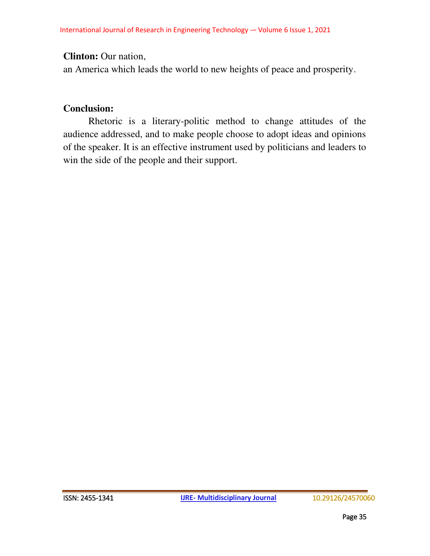#### **Clinton:** Our nation,

an America which leads the world to new heights of peace and prosperity.

#### **Conclusion:**

Rhetoric is a literary-politic method to change attitudes of the audience addressed, and to make people choose to adopt ideas and opinions of the speaker. It is an effective instrument used by politicians and leaders to win the side of the people and their support.